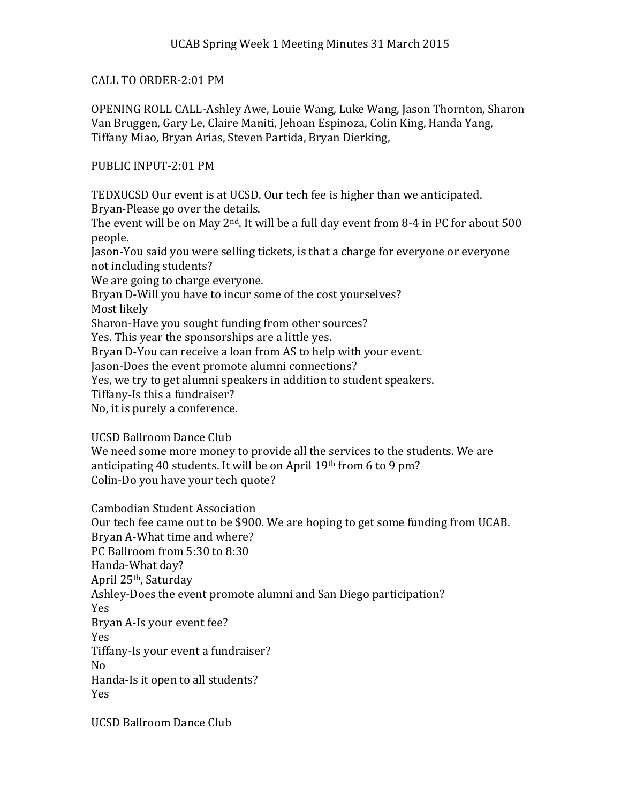## CALL TO ORDER-2:01 PM

OPENING ROLL CALL-Ashley Awe, Louie Wang, Luke Wang, Jason Thornton, Sharon Van Bruggen, Gary Le, Claire Maniti, Jehoan Espinoza, Colin King, Handa Yang, Tiffany Miao, Bryan Arias, Steven Partida, Bryan Dierking,

## PUBLIC INPUT-2:01 PM

TEDXUCSD Our event is at UCSD. Our tech fee is higher than we anticipated. Bryan-Please go over the details.

The event will be on May  $2<sup>nd</sup>$ . It will be a full day event from 8-4 in PC for about 500 people.

Jason-You said you were selling tickets, is that a charge for everyone or everyone not including students?

We are going to charge everyone.

Bryan D-Will you have to incur some of the cost yourselves?

Most likely

Sharon-Have you sought funding from other sources?

Yes. This year the sponsorships are a little yes.

Bryan D-You can receive a loan from AS to help with your event.

Jason-Does the event promote alumni connections?

Yes, we try to get alumni speakers in addition to student speakers.

Tiffany-Is this a fundraiser?

No, it is purely a conference.

UCSD Ballroom Dance Club

We need some more money to provide all the services to the students. We are anticipating 40 students. It will be on April 19th from 6 to 9 pm? Colin-Do you have your tech quote?

Cambodian Student Association

Our tech fee came out to be \$900. We are hoping to get some funding from UCAB. Bryan A-What time and where? PC Ballroom from 5:30 to 8:30 Handa-What day? April 25th, Saturday Ashley-Does the event promote alumni and San Diego participation? Yes Bryan A-Is your event fee? Yes Tiffany-Is your event a fundraiser? No Handa-Is it open to all students? Yes

UCSD Ballroom Dance Club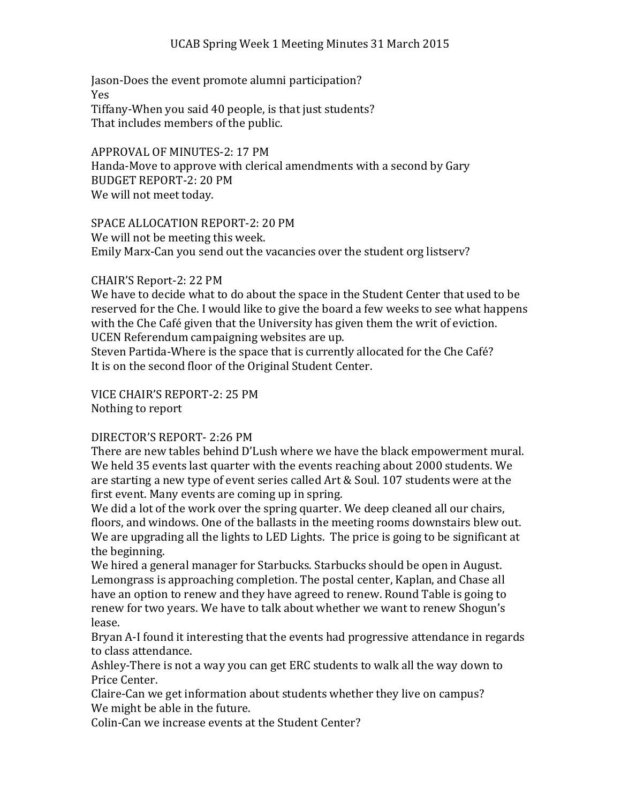Jason-Does the event promote alumni participation? Yes Tiffany-When you said 40 people, is that just students? That includes members of the public.

APPROVAL OF MINUTES-2: 17 PM Handa-Move to approve with clerical amendments with a second by Gary BUDGET REPORT-2: 20 PM We will not meet today.

SPACE ALLOCATION REPORT-2: 20 PM We will not be meeting this week. Emily Marx-Can you send out the vacancies over the student org listserv?

## CHAIR'S Report-2: 22 PM

We have to decide what to do about the space in the Student Center that used to be reserved for the Che. I would like to give the board a few weeks to see what happens with the Che Café given that the University has given them the writ of eviction. UCEN Referendum campaigning websites are up.

Steven Partida-Where is the space that is currently allocated for the Che Café? It is on the second floor of the Original Student Center.

VICE CHAIR'S REPORT-2: 25 PM Nothing to report

## DIRECTOR'S REPORT- 2:26 PM

There are new tables behind D'Lush where we have the black empowerment mural. We held 35 events last quarter with the events reaching about 2000 students. We are starting a new type of event series called Art & Soul. 107 students were at the first event. Many events are coming up in spring.

We did a lot of the work over the spring quarter. We deep cleaned all our chairs, floors, and windows. One of the ballasts in the meeting rooms downstairs blew out. We are upgrading all the lights to LED Lights. The price is going to be significant at the beginning.

We hired a general manager for Starbucks. Starbucks should be open in August. Lemongrass is approaching completion. The postal center, Kaplan, and Chase all have an option to renew and they have agreed to renew. Round Table is going to renew for two years. We have to talk about whether we want to renew Shogun's lease.

Bryan A-I found it interesting that the events had progressive attendance in regards to class attendance.

Ashley-There is not a way you can get ERC students to walk all the way down to Price Center.

Claire-Can we get information about students whether they live on campus? We might be able in the future.

Colin-Can we increase events at the Student Center?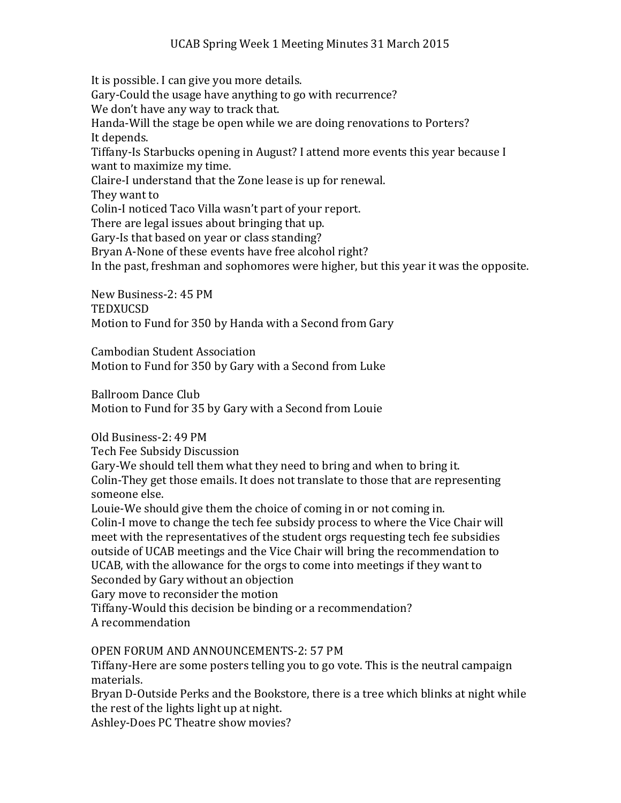It is possible. I can give you more details. Gary-Could the usage have anything to go with recurrence? We don't have any way to track that. Handa-Will the stage be open while we are doing renovations to Porters? It depends. Tiffany-Is Starbucks opening in August? I attend more events this year because I want to maximize my time. Claire-I understand that the Zone lease is up for renewal. They want to Colin-I noticed Taco Villa wasn't part of your report. There are legal issues about bringing that up. Gary-Is that based on year or class standing? Bryan A-None of these events have free alcohol right?

In the past, freshman and sophomores were higher, but this year it was the opposite.

New Business-2: 45 PM **TEDXUCSD** Motion to Fund for 350 by Handa with a Second from Gary

Cambodian Student Association Motion to Fund for 350 by Gary with a Second from Luke

Ballroom Dance Club Motion to Fund for 35 by Gary with a Second from Louie

Old Business-2: 49 PM

Tech Fee Subsidy Discussion

Gary-We should tell them what they need to bring and when to bring it. Colin-They get those emails. It does not translate to those that are representing someone else.

Louie-We should give them the choice of coming in or not coming in. Colin-I move to change the tech fee subsidy process to where the Vice Chair will meet with the representatives of the student orgs requesting tech fee subsidies outside of UCAB meetings and the Vice Chair will bring the recommendation to UCAB, with the allowance for the orgs to come into meetings if they want to Seconded by Gary without an objection

Gary move to reconsider the motion

Tiffany-Would this decision be binding or a recommendation? A recommendation

OPEN FORUM AND ANNOUNCEMENTS-2: 57 PM

Tiffany-Here are some posters telling you to go vote. This is the neutral campaign materials.

Bryan D-Outside Perks and the Bookstore, there is a tree which blinks at night while the rest of the lights light up at night.

Ashley-Does PC Theatre show movies?